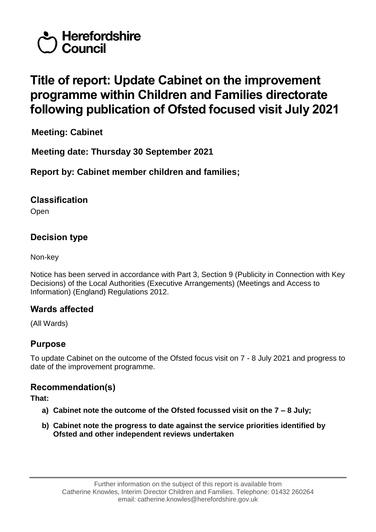

# **Title of report: Update Cabinet on the improvement programme within Children and Families directorate following publication of Ofsted focused visit July 2021**

**Meeting: Cabinet**

**Meeting date: Thursday 30 September 2021**

**Report by: Cabinet member children and families;** 

### **Classification**

Open

# **Decision type**

Non-key

Notice has been served in accordance with Part 3, Section 9 (Publicity in Connection with Key Decisions) of the Local Authorities (Executive Arrangements) (Meetings and Access to Information) (England) Regulations 2012.

# **Wards affected**

(All Wards)

# **Purpose**

To update Cabinet on the outcome of the Ofsted focus visit on 7 - 8 July 2021 and progress to date of the improvement programme.

### **Recommendation(s)**

**That:**

- **a) Cabinet note the outcome of the Ofsted focussed visit on the 7 – 8 July;**
- **b) Cabinet note the progress to date against the service priorities identified by Ofsted and other independent reviews undertaken**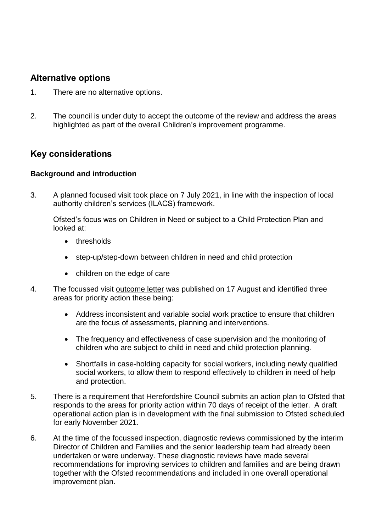### **Alternative options**

- 1. There are no alternative options.
- 2. The council is under duty to accept the outcome of the review and address the areas highlighted as part of the overall Children's improvement programme.

## **Key considerations**

#### **Background and introduction**

3. A planned focused visit took place on 7 July 2021, in line with the inspection of local authority children's services (ILACS) framework.

Ofsted's focus was on Children in Need or subject to a Child Protection Plan and looked at:

- thresholds
- step-up/step-down between children in need and child protection
- children on the edge of care
- 4. The focussed visit [outcome letter](https://files.ofsted.gov.uk/v1/file/50167833) was published on 17 August and identified three areas for priority action these being:
	- Address inconsistent and variable social work practice to ensure that children are the focus of assessments, planning and interventions.
	- The frequency and effectiveness of case supervision and the monitoring of children who are subject to child in need and child protection planning.
	- Shortfalls in case-holding capacity for social workers, including newly qualified social workers, to allow them to respond effectively to children in need of help and protection.
- 5. There is a requirement that Herefordshire Council submits an action plan to Ofsted that responds to the areas for priority action within 70 days of receipt of the letter. A draft operational action plan is in development with the final submission to Ofsted scheduled for early November 2021.
- 6. At the time of the focussed inspection, diagnostic reviews commissioned by the interim Director of Children and Families and the senior leadership team had already been undertaken or were underway. These diagnostic reviews have made several recommendations for improving services to children and families and are being drawn together with the Ofsted recommendations and included in one overall operational improvement plan.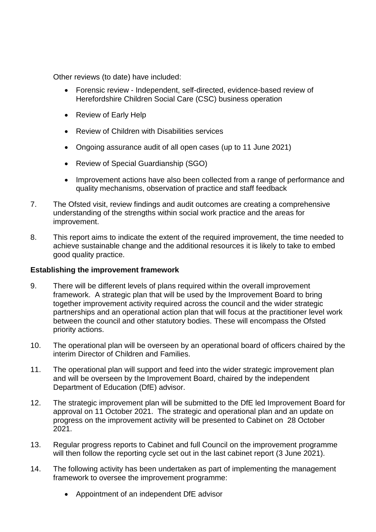Other reviews (to date) have included:

- Forensic review Independent, self-directed, evidence-based review of Herefordshire Children Social Care (CSC) business operation
- Review of Early Help
- Review of Children with Disabilities services
- Ongoing assurance audit of all open cases (up to 11 June 2021)
- Review of Special Guardianship (SGO)
- Improvement actions have also been collected from a range of performance and quality mechanisms, observation of practice and staff feedback
- 7. The Ofsted visit, review findings and audit outcomes are creating a comprehensive understanding of the strengths within social work practice and the areas for improvement.
- 8. This report aims to indicate the extent of the required improvement, the time needed to achieve sustainable change and the additional resources it is likely to take to embed good quality practice.

#### **Establishing the improvement framework**

- 9. There will be different levels of plans required within the overall improvement framework. A strategic plan that will be used by the Improvement Board to bring together improvement activity required across the council and the wider strategic partnerships and an operational action plan that will focus at the practitioner level work between the council and other statutory bodies. These will encompass the Ofsted priority actions.
- 10. The operational plan will be overseen by an operational board of officers chaired by the interim Director of Children and Families.
- 11. The operational plan will support and feed into the wider strategic improvement plan and will be overseen by the Improvement Board, chaired by the independent Department of Education (DfE) advisor.
- 12. The strategic improvement plan will be submitted to the DfE led Improvement Board for approval on 11 October 2021. The strategic and operational plan and an update on progress on the improvement activity will be presented to Cabinet on 28 October 2021.
- 13. Regular progress reports to Cabinet and full Council on the improvement programme will then follow the reporting cycle set out in the last cabinet report (3 June 2021).
- 14. The following activity has been undertaken as part of implementing the management framework to oversee the improvement programme:
	- Appointment of an independent DfE advisor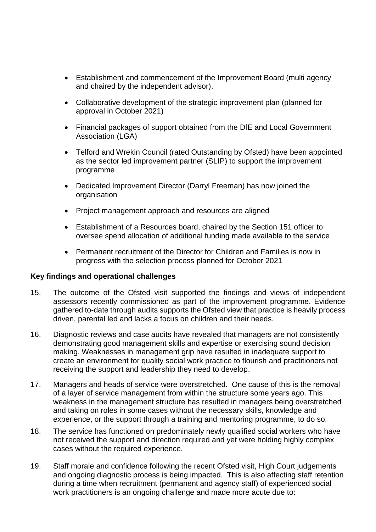- Establishment and commencement of the Improvement Board (multi agency and chaired by the independent advisor).
- Collaborative development of the strategic improvement plan (planned for approval in October 2021)
- Financial packages of support obtained from the DfE and Local Government Association (LGA)
- Telford and Wrekin Council (rated Outstanding by Ofsted) have been appointed as the sector led improvement partner (SLIP) to support the improvement programme
- Dedicated Improvement Director (Darryl Freeman) has now joined the organisation
- Project management approach and resources are aligned
- Establishment of a Resources board, chaired by the Section 151 officer to oversee spend allocation of additional funding made available to the service
- Permanent recruitment of the Director for Children and Families is now in progress with the selection process planned for October 2021

#### **Key findings and operational challenges**

- 15. The outcome of the Ofsted visit supported the findings and views of independent assessors recently commissioned as part of the improvement programme. Evidence gathered to-date through audits supports the Ofsted view that practice is heavily process driven, parental led and lacks a focus on children and their needs.
- 16. Diagnostic reviews and case audits have revealed that managers are not consistently demonstrating good management skills and expertise or exercising sound decision making. Weaknesses in management grip have resulted in inadequate support to create an environment for quality social work practice to flourish and practitioners not receiving the support and leadership they need to develop.
- 17. Managers and heads of service were overstretched. One cause of this is the removal of a layer of service management from within the structure some years ago. This weakness in the management structure has resulted in managers being overstretched and taking on roles in some cases without the necessary skills, knowledge and experience, or the support through a training and mentoring programme, to do so.
- 18. The service has functioned on predominately newly qualified social workers who have not received the support and direction required and yet were holding highly complex cases without the required experience.
- 19. Staff morale and confidence following the recent Ofsted visit, High Court judgements and ongoing diagnostic process is being impacted. This is also affecting staff retention during a time when recruitment (permanent and agency staff) of experienced social work practitioners is an ongoing challenge and made more acute due to: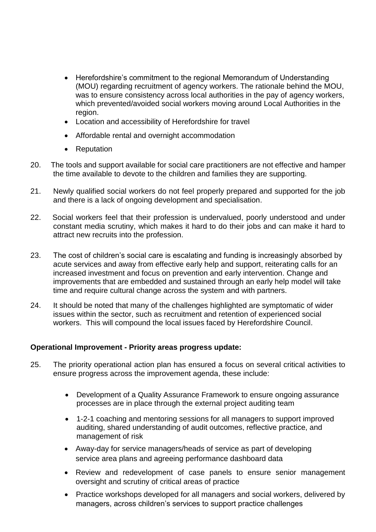- Herefordshire's commitment to the regional Memorandum of Understanding (MOU) regarding recruitment of agency workers. The rationale behind the MOU, was to ensure consistency across local authorities in the pay of agency workers, which prevented/avoided social workers moving around Local Authorities in the region.
- Location and accessibility of Herefordshire for travel
- Affordable rental and overnight accommodation
- Reputation
- 20. The tools and support available for social care practitioners are not effective and hamper the time available to devote to the children and families they are supporting.
- 21. Newly qualified social workers do not feel properly prepared and supported for the job and there is a lack of ongoing development and specialisation.
- 22. Social workers feel that their profession is undervalued, poorly understood and under constant media scrutiny, which makes it hard to do their jobs and can make it hard to attract new recruits into the profession.
- 23. The cost of children's social care is escalating and funding is increasingly absorbed by acute services and away from effective early help and support, reiterating calls for an increased investment and focus on prevention and early intervention. Change and improvements that are embedded and sustained through an early help model will take time and require cultural change across the system and with partners.
- 24. It should be noted that many of the challenges highlighted are symptomatic of wider issues within the sector, such as recruitment and retention of experienced social workers. This will compound the local issues faced by Herefordshire Council.

#### **Operational Improvement - Priority areas progress update:**

- 25. The priority operational action plan has ensured a focus on several critical activities to ensure progress across the improvement agenda, these include:
	- Development of a Quality Assurance Framework to ensure ongoing assurance processes are in place through the external project auditing team
	- 1-2-1 coaching and mentoring sessions for all managers to support improved auditing, shared understanding of audit outcomes, reflective practice, and management of risk
	- Away-day for service managers/heads of service as part of developing service area plans and agreeing performance dashboard data
	- Review and redevelopment of case panels to ensure senior management oversight and scrutiny of critical areas of practice
	- Practice workshops developed for all managers and social workers, delivered by managers, across children's services to support practice challenges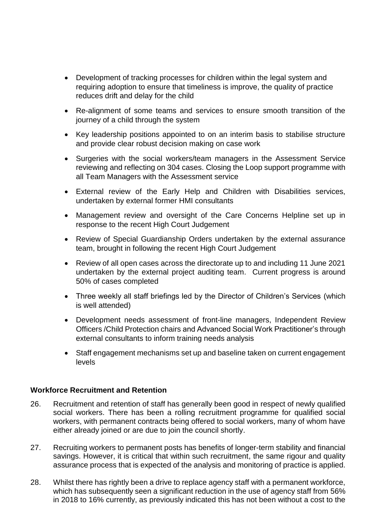- Development of tracking processes for children within the legal system and requiring adoption to ensure that timeliness is improve, the quality of practice reduces drift and delay for the child
- Re-alignment of some teams and services to ensure smooth transition of the journey of a child through the system
- Key leadership positions appointed to on an interim basis to stabilise structure and provide clear robust decision making on case work
- Surgeries with the social workers/team managers in the Assessment Service reviewing and reflecting on 304 cases. Closing the Loop support programme with all Team Managers with the Assessment service
- External review of the Early Help and Children with Disabilities services, undertaken by external former HMI consultants
- Management review and oversight of the Care Concerns Helpline set up in response to the recent High Court Judgement
- Review of Special Guardianship Orders undertaken by the external assurance team, brought in following the recent High Court Judgement
- Review of all open cases across the directorate up to and including 11 June 2021 undertaken by the external project auditing team. Current progress is around 50% of cases completed
- Three weekly all staff briefings led by the Director of Children's Services (which is well attended)
- Development needs assessment of front-line managers, Independent Review Officers /Child Protection chairs and Advanced Social Work Practitioner's through external consultants to inform training needs analysis
- Staff engagement mechanisms set up and baseline taken on current engagement levels

#### **Workforce Recruitment and Retention**

- 26. Recruitment and retention of staff has generally been good in respect of newly qualified social workers. There has been a rolling recruitment programme for qualified social workers, with permanent contracts being offered to social workers, many of whom have either already joined or are due to join the council shortly.
- 27. Recruiting workers to permanent posts has benefits of longer-term stability and financial savings. However, it is critical that within such recruitment, the same rigour and quality assurance process that is expected of the analysis and monitoring of practice is applied.
- 28. Whilst there has rightly been a drive to replace agency staff with a permanent workforce, which has subsequently seen a significant reduction in the use of agency staff from 56% in 2018 to 16% currently, as previously indicated this has not been without a cost to the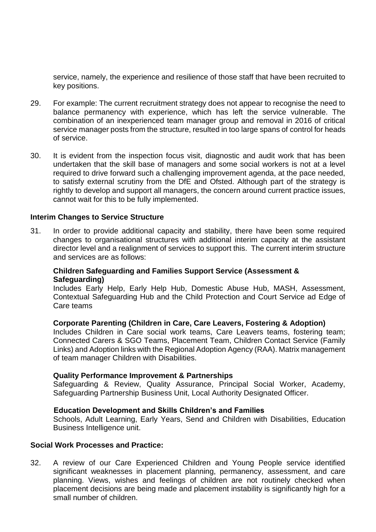service, namely, the experience and resilience of those staff that have been recruited to key positions.

- 29. For example: The current recruitment strategy does not appear to recognise the need to balance permanency with experience, which has left the service vulnerable. The combination of an inexperienced team manager group and removal in 2016 of critical service manager posts from the structure, resulted in too large spans of control for heads of service.
- 30. It is evident from the inspection focus visit, diagnostic and audit work that has been undertaken that the skill base of managers and some social workers is not at a level required to drive forward such a challenging improvement agenda, at the pace needed, to satisfy external scrutiny from the DfE and Ofsted. Although part of the strategy is rightly to develop and support all managers, the concern around current practice issues, cannot wait for this to be fully implemented.

#### **Interim Changes to Service Structure**

31. In order to provide additional capacity and stability, there have been some required changes to organisational structures with additional interim capacity at the assistant director level and a realignment of services to support this. The current interim structure and services are as follows:

#### **Children Safeguarding and Families Support Service (Assessment & Safeguarding)**

Includes Early Help, Early Help Hub, Domestic Abuse Hub, MASH, Assessment, Contextual Safeguarding Hub and the Child Protection and Court Service ad Edge of Care teams

#### **Corporate Parenting (Children in Care, Care Leavers, Fostering & Adoption)**

Includes Children in Care social work teams, Care Leavers teams, fostering team; Connected Carers & SGO Teams, Placement Team, Children Contact Service (Family Links) and Adoption links with the Regional Adoption Agency (RAA). Matrix management of team manager Children with Disabilities.

#### **Quality Performance Improvement & Partnerships**

Safeguarding & Review, Quality Assurance, Principal Social Worker, Academy, Safeguarding Partnership Business Unit, Local Authority Designated Officer.

#### **Education Development and Skills Children's and Families**

Schools, Adult Learning, Early Years, Send and Children with Disabilities, Education Business Intelligence unit.

#### **Social Work Processes and Practice:**

32. A review of our Care Experienced Children and Young People service identified significant weaknesses in placement planning, permanency, assessment, and care planning. Views, wishes and feelings of children are not routinely checked when placement decisions are being made and placement instability is significantly high for a small number of children.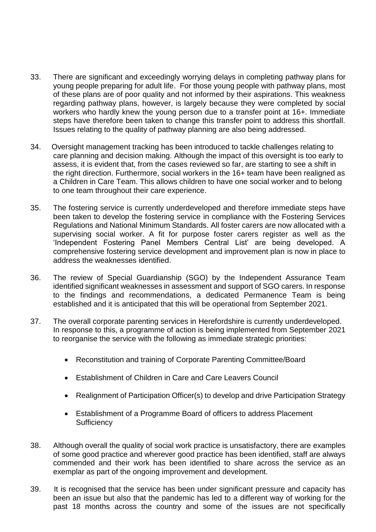- 33. There are significant and exceedingly worrying delays in completing pathway plans for young people preparing for adult life. For those young people with pathway plans, most of these plans are of poor quality and not informed by their aspirations. This weakness regarding pathway plans, however, is largely because they were completed by social workers who hardly knew the young person due to a transfer point at 16+. Immediate steps have therefore been taken to change this transfer point to address this shortfall. Issues relating to the quality of pathway planning are also being addressed.
- 34. Oversight management tracking has been introduced to tackle challenges relating to care planning and decision making. Although the impact of this oversight is too early to assess, it is evident that, from the cases reviewed so far, are starting to see a shift in the right direction. Furthermore, social workers in the 16+ team have been realigned as a Children in Care Team. This allows children to have one social worker and to belong to one team throughout their care experience.
- 35. The fostering service is currently underdeveloped and therefore immediate steps have been taken to develop the fostering service in compliance with the Fostering Services Regulations and National Minimum Standards. All foster carers are now allocated with a supervising social worker. A fit for purpose foster carers register as well as the 'Independent Fostering Panel Members Central List' are being developed. A comprehensive fostering service development and improvement plan is now in place to address the weaknesses identified.
- 36. The review of Special Guardianship (SGO) by the Independent Assurance Team identified significant weaknesses in assessment and support of SGO carers. In response to the findings and recommendations, a dedicated Permanence Team is being established and it is anticipated that this will be operational from September 2021.
- 37. The overall corporate parenting services in Herefordshire is currently underdeveloped. In response to this, a programme of action is being implemented from September 2021 to reorganise the service with the following as immediate strategic priorities:
	- Reconstitution and training of Corporate Parenting Committee/Board
	- Establishment of Children in Care and Care Leavers Council
	- Realignment of Participation Officer(s) to develop and drive Participation Strategy
	- Establishment of a Programme Board of officers to address Placement **Sufficiency**
- 38. Although overall the quality of social work practice is unsatisfactory, there are examples of some good practice and wherever good practice has been identified, staff are always commended and their work has been identified to share across the service as an exemplar as part of the ongoing improvement and development.
- 39. It is recognised that the service has been under significant pressure and capacity has been an issue but also that the pandemic has led to a different way of working for the past 18 months across the country and some of the issues are not specifically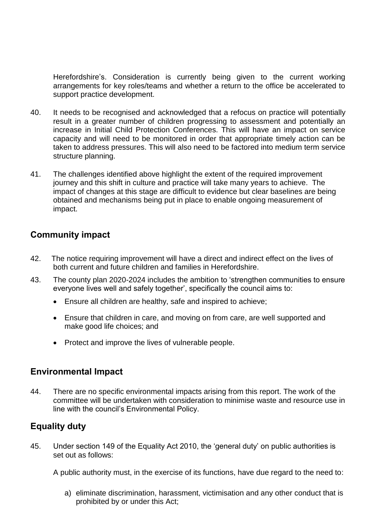Herefordshire's. Consideration is currently being given to the current working arrangements for key roles/teams and whether a return to the office be accelerated to support practice development.

- 40. It needs to be recognised and acknowledged that a refocus on practice will potentially result in a greater number of children progressing to assessment and potentially an increase in Initial Child Protection Conferences. This will have an impact on service capacity and will need to be monitored in order that appropriate timely action can be taken to address pressures. This will also need to be factored into medium term service structure planning.
- 41. The challenges identified above highlight the extent of the required improvement journey and this shift in culture and practice will take many years to achieve. The impact of changes at this stage are difficult to evidence but clear baselines are being obtained and mechanisms being put in place to enable ongoing measurement of impact.

# **Community impact**

- 42. The notice requiring improvement will have a direct and indirect effect on the lives of both current and future children and families in Herefordshire.
- 43. The county plan 2020-2024 includes the ambition to 'strengthen communities to ensure everyone lives well and safely together', specifically the council aims to:
	- Ensure all children are healthy, safe and inspired to achieve;
	- Ensure that children in care, and moving on from care, are well supported and make good life choices; and
	- Protect and improve the lives of vulnerable people.

### **Environmental Impact**

44. There are no specific environmental impacts arising from this report. The work of the committee will be undertaken with consideration to minimise waste and resource use in line with the council's Environmental Policy.

### **Equality duty**

45. Under section 149 of the Equality Act 2010, the 'general duty' on public authorities is set out as follows:

A public authority must, in the exercise of its functions, have due regard to the need to:

a) eliminate discrimination, harassment, victimisation and any other conduct that is prohibited by or under this Act;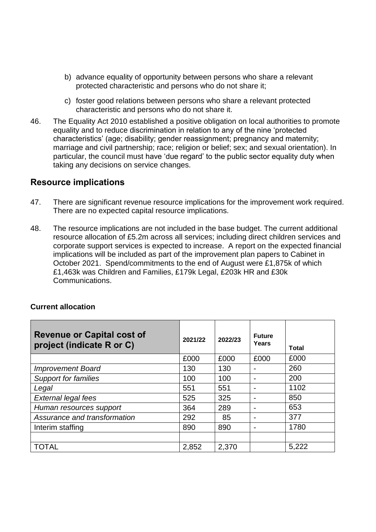- b) advance equality of opportunity between persons who share a relevant protected characteristic and persons who do not share it;
- c) foster good relations between persons who share a relevant protected characteristic and persons who do not share it.
- 46. The Equality Act 2010 established a positive obligation on local authorities to promote equality and to reduce discrimination in relation to any of the nine 'protected characteristics' (age; disability; gender reassignment; pregnancy and maternity; marriage and civil partnership; race; religion or belief; sex; and sexual orientation). In particular, the council must have 'due regard' to the public sector equality duty when taking any decisions on service changes.

### **Resource implications**

- 47. There are significant revenue resource implications for the improvement work required. There are no expected capital resource implications.
- 48. The resource implications are not included in the base budget. The current additional resource allocation of £5.2m across all services; including direct children services and corporate support services is expected to increase. A report on the expected financial implications will be included as part of the improvement plan papers to Cabinet in October 2021. Spend/commitments to the end of August were £1,875k of which £1,463k was Children and Families, £179k Legal, £203k HR and £30k Communications.

#### **Current allocation**

| <b>Revenue or Capital cost of</b><br>project (indicate R or C) | 2021/22 | 2022/23 | <b>Future</b><br>Years | Total |
|----------------------------------------------------------------|---------|---------|------------------------|-------|
|                                                                | £000    | £000    | £000                   | £000  |
| <b>Improvement Board</b>                                       | 130     | 130     |                        | 260   |
| <b>Support for families</b>                                    | 100     | 100     |                        | 200   |
| Legal                                                          | 551     | 551     |                        | 1102  |
| <b>External legal fees</b>                                     | 525     | 325     |                        | 850   |
| Human resources support                                        | 364     | 289     |                        | 653   |
| Assurance and transformation                                   | 292     | 85      |                        | 377   |
| Interim staffing                                               | 890     | 890     |                        | 1780  |
|                                                                |         |         |                        |       |
| <b>TOTAL</b>                                                   | 2,852   | 2,370   |                        | 5,222 |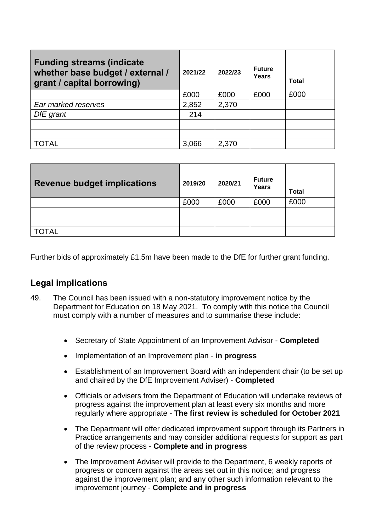| <b>Funding streams (indicate</b><br>whether base budget / external /<br>grant / capital borrowing) | 2021/22 | 2022/23 | <b>Future</b><br>Years | Total |
|----------------------------------------------------------------------------------------------------|---------|---------|------------------------|-------|
|                                                                                                    | £000    | £000    | £000                   | £000  |
| Ear marked reserves                                                                                | 2,852   | 2,370   |                        |       |
| DfE grant                                                                                          | 214     |         |                        |       |
|                                                                                                    |         |         |                        |       |
|                                                                                                    |         |         |                        |       |
| <b>TOTAL</b>                                                                                       | 3,066   | 2,370   |                        |       |

| <b>Revenue budget implications</b> | 2019/20 | 2020/21 | <b>Future</b><br>Years | <b>Total</b> |
|------------------------------------|---------|---------|------------------------|--------------|
|                                    | £000    | £000    | £000                   | £000         |
|                                    |         |         |                        |              |
|                                    |         |         |                        |              |
| <b>TOTAL</b>                       |         |         |                        |              |

Further bids of approximately £1.5m have been made to the DfE for further grant funding.

### **Legal implications**

- 49. The Council has been issued with a non-statutory improvement notice by the Department for Education on 18 May 2021. To comply with this notice the Council must comply with a number of measures and to summarise these include:
	- Secretary of State Appointment of an Improvement Advisor **Completed**
	- Implementation of an Improvement plan **in progress**
	- Establishment of an Improvement Board with an independent chair (to be set up and chaired by the DfE Improvement Adviser) - **Completed**
	- Officials or advisers from the Department of Education will undertake reviews of progress against the improvement plan at least every six months and more regularly where appropriate - **The first review is scheduled for October 2021**
	- The Department will offer dedicated improvement support through its Partners in Practice arrangements and may consider additional requests for support as part of the review process - **Complete and in progress**
	- The Improvement Adviser will provide to the Department, 6 weekly reports of progress or concern against the areas set out in this notice; and progress against the improvement plan; and any other such information relevant to the improvement journey - **Complete and in progress**